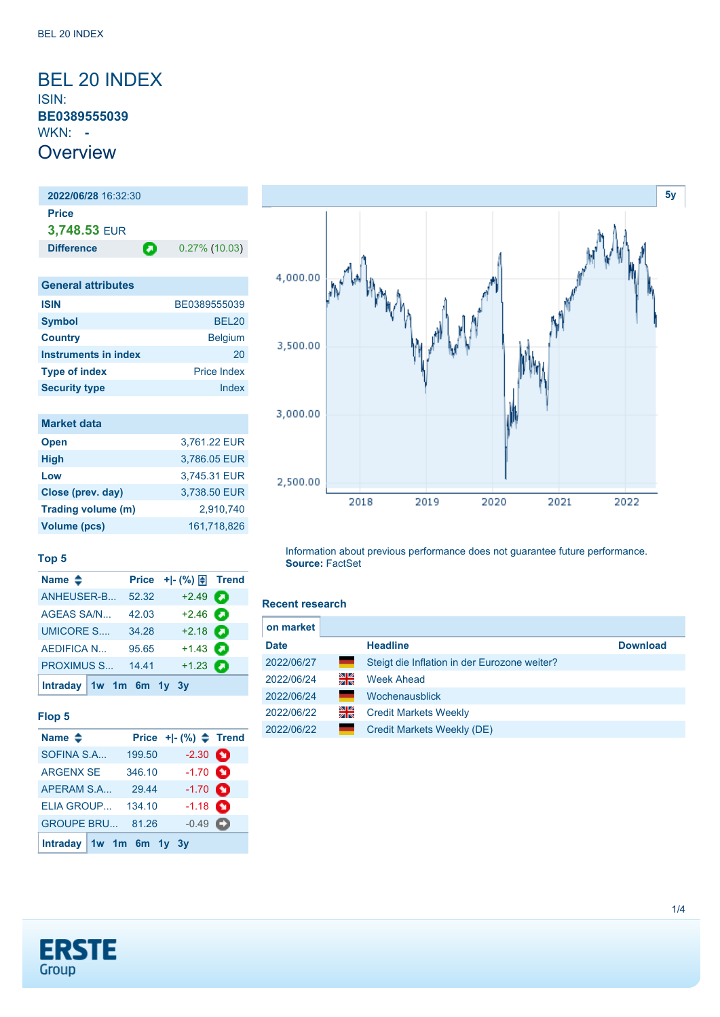### <span id="page-0-0"></span>BEL 20 INDEX ISIN: **BE0389555039** WKN: **- Overview**

**2022/06/28** 16:32:30 **Price 3,748.53** EUR **Difference 0.27% (10.03)** 

| <b>General attributes</b>   |                    |
|-----------------------------|--------------------|
| <b>ISIN</b>                 | BE0389555039       |
| <b>Symbol</b>               | <b>BEL20</b>       |
| <b>Country</b>              | <b>Belgium</b>     |
| <b>Instruments in index</b> | 20                 |
| <b>Type of index</b>        | <b>Price Index</b> |
| <b>Security type</b>        | Index              |

| <b>Market data</b> |              |
|--------------------|--------------|
| <b>Open</b>        | 3,761.22 EUR |
| <b>High</b>        | 3,786.05 EUR |
| Low                | 3,745.31 EUR |
| Close (prev. day)  | 3.738.50 EUR |
| Trading volume (m) | 2.910.740    |
| Volume (pcs)       | 161,718,826  |

**Name ◆ Price +|- (%) h** Trend [ANHEUSER-B...](https://de.products.erstegroup.com/CorporateClients/en/Dispatcher/FactsheetDispatcher/index.phtml?ID_NOTATION=172539598) 52.32 +2.49 [AGEAS SA/N...](https://de.products.erstegroup.com/CorporateClients/en/Dispatcher/FactsheetDispatcher/index.phtml?ID_NOTATION=67983004) 42.03 +2.46 [UMICORE S....](https://de.products.erstegroup.com/CorporateClients/en/Dispatcher/FactsheetDispatcher/index.phtml?ID_NOTATION=94641) 34.28 +2.18 [AEDIFICA N...](https://de.products.erstegroup.com/CorporateClients/en/Dispatcher/FactsheetDispatcher/index.phtml?ID_NOTATION=15954457) 95.65 +1.43 **[PROXIMUS S...](https://de.products.erstegroup.com/CorporateClients/en/Dispatcher/FactsheetDispatcher/index.phtml?ID_NOTATION=9421550) 14.41 +1.23 2** 

ø

# 4,000.00 3,500.00 3,000.00 2,500.00 2019 2018 2020 2021 2022

Information about previous performance does not guarantee future performance. **Source:** FactSet

#### **Recent research**

| on market   |     |                                              |                 |
|-------------|-----|----------------------------------------------|-----------------|
| <b>Date</b> |     | <b>Headline</b>                              | <b>Download</b> |
| 2022/06/27  | ╾   | Steigt die Inflation in der Eurozone weiter? |                 |
| 2022/06/24  | 꾉뚢  | <b>Week Ahead</b>                            |                 |
| 2022/06/24  | a a | Wochenausblick                               |                 |
| 2022/06/22  | 꾉뚢  | <b>Credit Markets Weekly</b>                 |                 |
| 2022/06/22  |     | Credit Markets Weekly (DE)                   |                 |



**[Intraday](https://de.products.erstegroup.com/CorporateClients/en/MarketsAndTrends/IndicesAndEquities/Factsheets/Index/print.phtml?&elem906840_durationTimes=gen_intraday&ID_NOTATION=293666) [1w](https://de.products.erstegroup.com/CorporateClients/en/MarketsAndTrends/IndicesAndEquities/Factsheets/Index/print.phtml?&elem906840_durationTimes=gen_1w&ID_NOTATION=293666) [1m](https://de.products.erstegroup.com/CorporateClients/en/MarketsAndTrends/IndicesAndEquities/Factsheets/Index/print.phtml?&elem906840_durationTimes=gen_1m&ID_NOTATION=293666) [6m](https://de.products.erstegroup.com/CorporateClients/en/MarketsAndTrends/IndicesAndEquities/Factsheets/Index/print.phtml?&elem906840_durationTimes=gen_6m&ID_NOTATION=293666) [1y](https://de.products.erstegroup.com/CorporateClients/en/MarketsAndTrends/IndicesAndEquities/Factsheets/Index/print.phtml?&elem906840_durationTimes=gen_1y&ID_NOTATION=293666) [3y](https://de.products.erstegroup.com/CorporateClients/en/MarketsAndTrends/IndicesAndEquities/Factsheets/Index/print.phtml?&elem906840_durationTimes=gen_3y&ID_NOTATION=293666)**

**Top 5**

**[Intraday](https://de.products.erstegroup.com/CorporateClients/en/MarketsAndTrends/IndicesAndEquities/Factsheets/Index/print.phtml?&elem906849_durationTimes=gen_intraday&ID_NOTATION=293666) [1w](https://de.products.erstegroup.com/CorporateClients/en/MarketsAndTrends/IndicesAndEquities/Factsheets/Index/print.phtml?&elem906849_durationTimes=gen_1w&ID_NOTATION=293666) [1m](https://de.products.erstegroup.com/CorporateClients/en/MarketsAndTrends/IndicesAndEquities/Factsheets/Index/print.phtml?&elem906849_durationTimes=gen_1m&ID_NOTATION=293666) [6m](https://de.products.erstegroup.com/CorporateClients/en/MarketsAndTrends/IndicesAndEquities/Factsheets/Index/print.phtml?&elem906849_durationTimes=gen_6m&ID_NOTATION=293666) [1y](https://de.products.erstegroup.com/CorporateClients/en/MarketsAndTrends/IndicesAndEquities/Factsheets/Index/print.phtml?&elem906849_durationTimes=gen_1y&ID_NOTATION=293666) [3y](https://de.products.erstegroup.com/CorporateClients/en/MarketsAndTrends/IndicesAndEquities/Factsheets/Index/print.phtml?&elem906849_durationTimes=gen_3y&ID_NOTATION=293666)**



**[5y](#page-0-0)**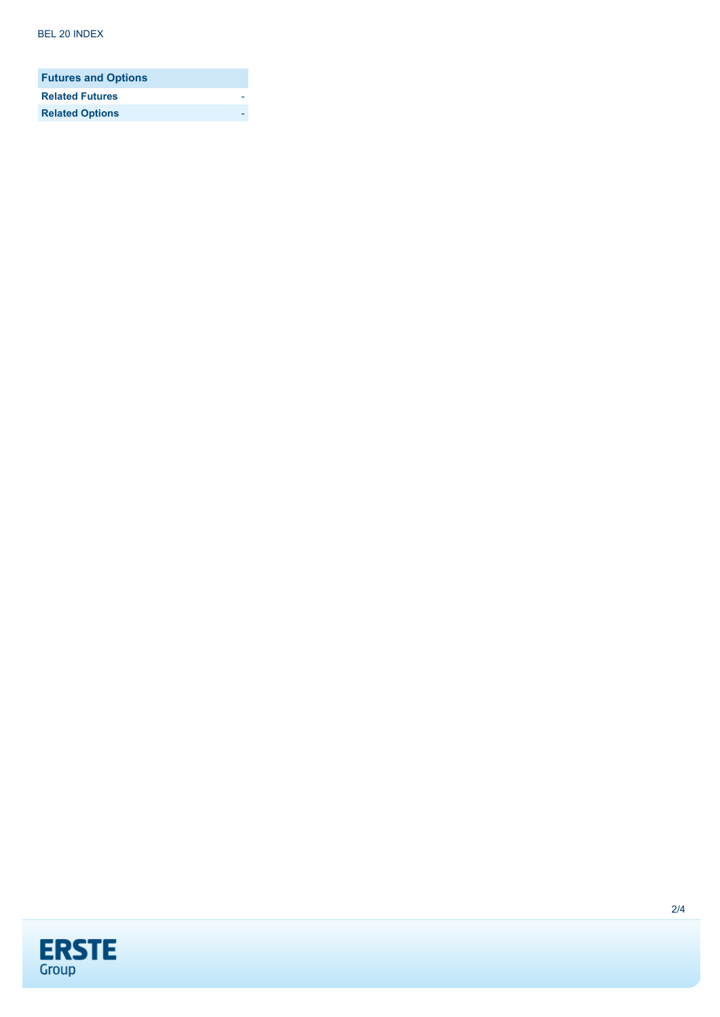| <b>Futures and Options</b> |  |
|----------------------------|--|
| <b>Related Futures</b>     |  |
| <b>Related Options</b>     |  |

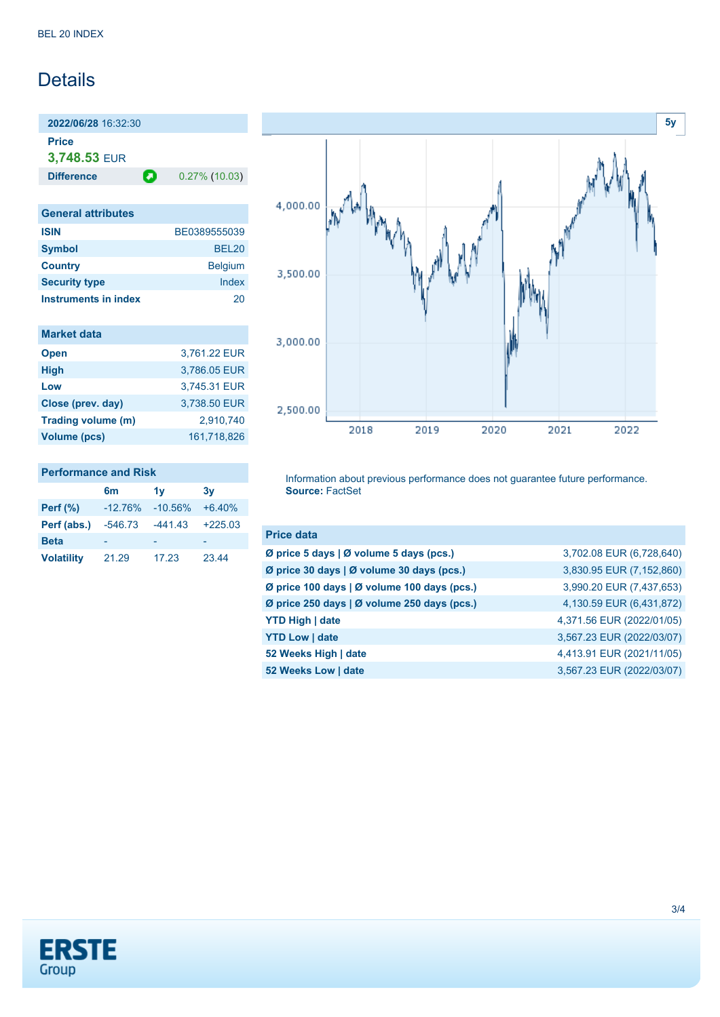## Details

**2022/06/28** 16:32:30 **Price**

**3,748.53** EUR

**Difference 0.27% (10.03)** 

| <b>General attributes</b> |                |
|---------------------------|----------------|
| <b>ISIN</b>               | BE0389555039   |
| <b>Symbol</b>             | <b>BEL20</b>   |
| <b>Country</b>            | <b>Belgium</b> |
| <b>Security type</b>      | Index          |
| Instruments in index      | 20             |

| <b>Market data</b>  |              |
|---------------------|--------------|
| <b>Open</b>         | 3,761.22 EUR |
| <b>High</b>         | 3,786.05 EUR |
| Low                 | 3,745.31 EUR |
| Close (prev. day)   | 3,738.50 EUR |
| Trading volume (m)  | 2.910.740    |
| <b>Volume (pcs)</b> | 161.718.826  |

#### **Performance and Risk**

|                   | 6m        | 1v        | 3v        |
|-------------------|-----------|-----------|-----------|
| <b>Perf</b> (%)   | $-12.76%$ | $-10.56%$ | $+6.40%$  |
| Perf (abs.)       | $-546.73$ | $-441.43$ | $+225.03$ |
| <b>Beta</b>       |           |           |           |
| <b>Volatility</b> | 21.29     | 17.23     | 23.44     |



Information about previous performance does not guarantee future performance. **Source:** FactSet

| <b>Price data</b>                           |                           |
|---------------------------------------------|---------------------------|
| Ø price 5 days   Ø volume 5 days (pcs.)     | 3,702.08 EUR (6,728,640)  |
| Ø price 30 days   Ø volume 30 days (pcs.)   | 3,830.95 EUR (7,152,860)  |
| Ø price 100 days   Ø volume 100 days (pcs.) | 3,990.20 EUR (7,437,653)  |
| Ø price 250 days   Ø volume 250 days (pcs.) | 4,130.59 EUR (6,431,872)  |
| <b>YTD High   date</b>                      | 4,371.56 EUR (2022/01/05) |
| <b>YTD Low   date</b>                       | 3,567.23 EUR (2022/03/07) |
| 52 Weeks High   date                        | 4,413.91 EUR (2021/11/05) |
| 52 Weeks Low   date                         | 3,567.23 EUR (2022/03/07) |